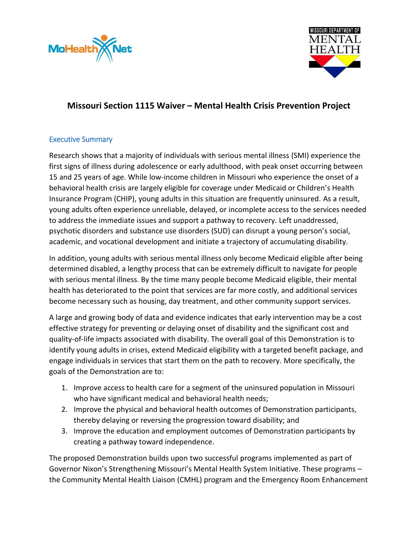



# **Missouri Section 1115 Waiver – Mental Health Crisis Prevention Project**

## Executive Summary

Research shows that a majority of individuals with serious mental illness (SMI) experience the first signs of illness during adolescence or early adulthood, with peak onset occurring between 15 and 25 years of age. While low-income children in Missouri who experience the onset of a behavioral health crisis are largely eligible for coverage under Medicaid or Children's Health Insurance Program (CHIP), young adults in this situation are frequently uninsured. As a result, young adults often experience unreliable, delayed, or incomplete access to the services needed to address the immediate issues and support a pathway to recovery. Left unaddressed, psychotic disorders and substance use disorders (SUD) can disrupt a young person's social, academic, and vocational development and initiate a trajectory of accumulating disability.

In addition, young adults with serious mental illness only become Medicaid eligible after being determined disabled, a lengthy process that can be extremely difficult to navigate for people with serious mental illness. By the time many people become Medicaid eligible, their mental health has deteriorated to the point that services are far more costly, and additional services become necessary such as housing, day treatment, and other community support services.

A large and growing body of data and evidence indicates that early intervention may be a cost effective strategy for preventing or delaying onset of disability and the significant cost and quality-of-life impacts associated with disability. The overall goal of this Demonstration is to identify young adults in crises, extend Medicaid eligibility with a targeted benefit package, and engage individuals in services that start them on the path to recovery. More specifically, the goals of the Demonstration are to:

- 1. Improve access to health care for a segment of the uninsured population in Missouri who have significant medical and behavioral health needs;
- 2. Improve the physical and behavioral health outcomes of Demonstration participants, thereby delaying or reversing the progression toward disability; and
- 3. Improve the education and employment outcomes of Demonstration participants by creating a pathway toward independence.

The proposed Demonstration builds upon two successful programs implemented as part of Governor Nixon's Strengthening Missouri's Mental Health System Initiative. These programs – the Community Mental Health Liaison (CMHL) program and the Emergency Room Enhancement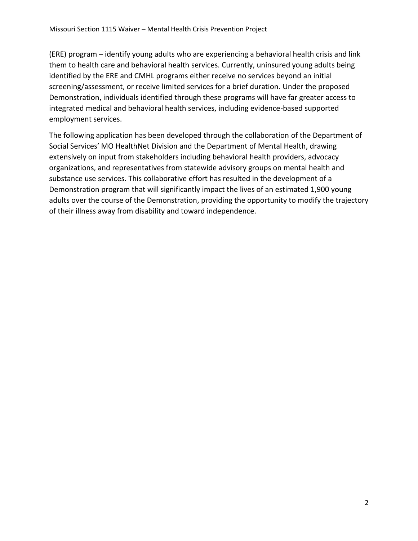(ERE) program – identify young adults who are experiencing a behavioral health crisis and link them to health care and behavioral health services. Currently, uninsured young adults being identified by the ERE and CMHL programs either receive no services beyond an initial screening/assessment, or receive limited services for a brief duration. Under the proposed Demonstration, individuals identified through these programs will have far greater access to integrated medical and behavioral health services, including evidence-based supported employment services.

The following application has been developed through the collaboration of the Department of Social Services' MO HealthNet Division and the Department of Mental Health, drawing extensively on input from stakeholders including behavioral health providers, advocacy organizations, and representatives from statewide advisory groups on mental health and substance use services. This collaborative effort has resulted in the development of a Demonstration program that will significantly impact the lives of an estimated 1,900 young adults over the course of the Demonstration, providing the opportunity to modify the trajectory of their illness away from disability and toward independence.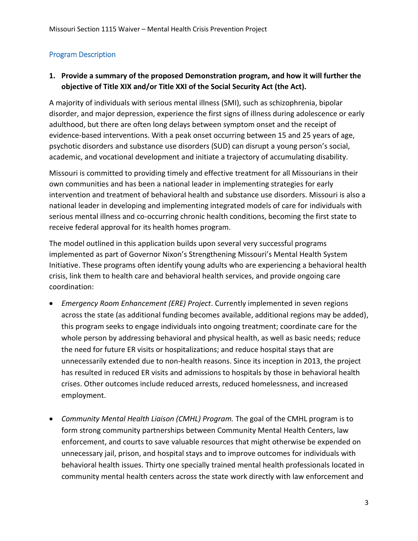# Program Description

# **1. Provide a summary of the proposed Demonstration program, and how it will further the objective of Title XIX and/or Title XXI of the Social Security Act (the Act).**

A majority of individuals with serious mental illness (SMI), such as schizophrenia, bipolar disorder, and major depression, experience the first signs of illness during adolescence or early adulthood, but there are often long delays between symptom onset and the receipt of evidence-based interventions. With a peak onset occurring between 15 and 25 years of age, psychotic disorders and substance use disorders (SUD) can disrupt a young person's social, academic, and vocational development and initiate a trajectory of accumulating disability.

Missouri is committed to providing timely and effective treatment for all Missourians in their own communities and has been a national leader in implementing strategies for early intervention and treatment of behavioral health and substance use disorders. Missouri is also a national leader in developing and implementing integrated models of care for individuals with serious mental illness and co-occurring chronic health conditions, becoming the first state to receive federal approval for its health homes program.

The model outlined in this application builds upon several very successful programs implemented as part of Governor Nixon's Strengthening Missouri's Mental Health System Initiative. These programs often identify young adults who are experiencing a behavioral health crisis, link them to health care and behavioral health services, and provide ongoing care coordination:

- *Emergency Room Enhancement (ERE) Project*. Currently implemented in seven regions across the state (as additional funding becomes available, additional regions may be added), this program seeks to engage individuals into ongoing treatment; coordinate care for the whole person by addressing behavioral and physical health, as well as basic needs; reduce the need for future ER visits or hospitalizations; and reduce hospital stays that are unnecessarily extended due to non-health reasons. Since its inception in 2013, the project has resulted in reduced ER visits and admissions to hospitals by those in behavioral health crises. Other outcomes include reduced arrests, reduced homelessness, and increased employment.
- *Community Mental Health Liaison (CMHL) Program.* The goal of the CMHL program is to form strong community partnerships between Community Mental Health Centers, law enforcement, and courts to save valuable resources that might otherwise be expended on unnecessary jail, prison, and hospital stays and to improve outcomes for individuals with behavioral health issues. Thirty one specially trained mental health professionals located in community mental health centers across the state work directly with law enforcement and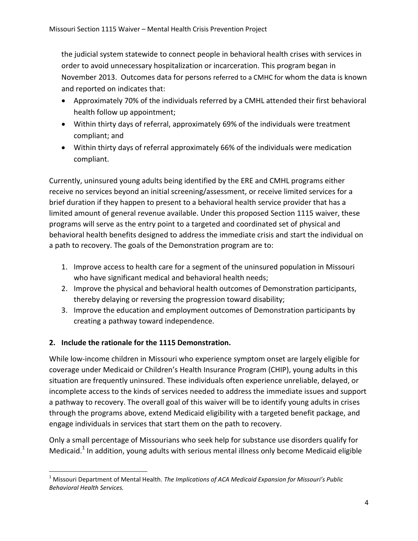the judicial system statewide to connect people in behavioral health crises with services in order to avoid unnecessary hospitalization or incarceration. This program began in November 2013. Outcomes data for persons referred to a CMHC for whom the data is known and reported on indicates that:

- Approximately 70% of the individuals referred by a CMHL attended their first behavioral health follow up appointment;
- Within thirty days of referral, approximately 69% of the individuals were treatment compliant; and
- Within thirty days of referral approximately 66% of the individuals were medication compliant.

Currently, uninsured young adults being identified by the ERE and CMHL programs either receive no services beyond an initial screening/assessment, or receive limited services for a brief duration if they happen to present to a behavioral health service provider that has a limited amount of general revenue available. Under this proposed Section 1115 waiver, these programs will serve as the entry point to a targeted and coordinated set of physical and behavioral health benefits designed to address the immediate crisis and start the individual on a path to recovery. The goals of the Demonstration program are to:

- 1. Improve access to health care for a segment of the uninsured population in Missouri who have significant medical and behavioral health needs;
- 2. Improve the physical and behavioral health outcomes of Demonstration participants, thereby delaying or reversing the progression toward disability;
- 3. Improve the education and employment outcomes of Demonstration participants by creating a pathway toward independence.

# **2. Include the rationale for the 1115 Demonstration.**

While low-income children in Missouri who experience symptom onset are largely eligible for coverage under Medicaid or Children's Health Insurance Program (CHIP), young adults in this situation are frequently uninsured. These individuals often experience unreliable, delayed, or incomplete access to the kinds of services needed to address the immediate issues and support a pathway to recovery. The overall goal of this waiver will be to identify young adults in crises through the programs above, extend Medicaid eligibility with a targeted benefit package, and engage individuals in services that start them on the path to recovery.

Only a small percentage of Missourians who seek help for substance use disorders qualify for Medicaid.<sup>1</sup> In addition, young adults with serious mental illness only become Medicaid eligible

l <sup>1</sup> Missouri Department of Mental Health. *The Implications of ACA Medicaid Expansion for Missouri's Public Behavioral Health Services.*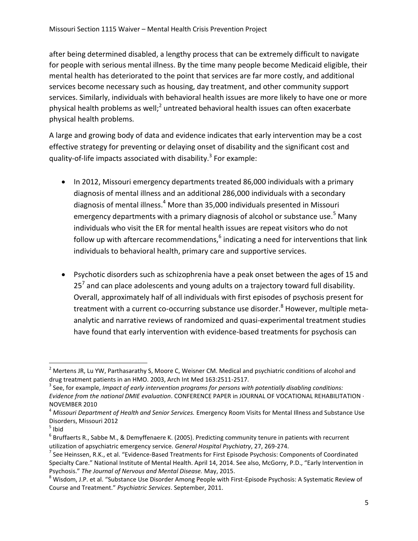after being determined disabled, a lengthy process that can be extremely difficult to navigate for people with serious mental illness. By the time many people become Medicaid eligible, their mental health has deteriorated to the point that services are far more costly, and additional services become necessary such as housing, day treatment, and other community support services. Similarly, individuals with behavioral health issues are more likely to have one or more physical health problems as well;<sup>2</sup> untreated behavioral health issues can often exacerbate physical health problems.

A large and growing body of data and evidence indicates that early intervention may be a cost effective strategy for preventing or delaying onset of disability and the significant cost and quality-of-life impacts associated with disability.<sup>3</sup> For example:

- In 2012, Missouri emergency departments treated 86,000 individuals with a primary diagnosis of mental illness and an additional 286,000 individuals with a secondary diagnosis of mental illness.<sup>4</sup> More than 35,000 individuals presented in Missouri emergency departments with a primary diagnosis of alcohol or substance use.<sup>5</sup> Many individuals who visit the ER for mental health issues are repeat visitors who do not follow up with aftercare recommendations,  $6$  indicating a need for interventions that link individuals to behavioral health, primary care and supportive services.
- Psychotic disorders such as schizophrenia have a peak onset between the ages of 15 and 25<sup>7</sup> and can place adolescents and young adults on a trajectory toward full disability. Overall, approximately half of all individuals with first episodes of psychosis present for treatment with a current co-occurring substance use disorder.<sup>8</sup> However, multiple metaanalytic and narrative reviews of randomized and quasi-experimental treatment studies have found that early intervention with evidence-based treatments for psychosis can

 $\overline{\phantom{a}}$ 

 $^2$  Mertens JR, Lu YW, Parthasarathy S, Moore C, Weisner CM. Medical and psychiatric conditions of alcohol and drug treatment patients in an HMO. 2003, Arch Int Med 163:2511-2517.

<sup>3</sup> See, for example, *Impact of early intervention programs for persons with potentially disabling conditions: Evidence from the national DMIE evaluation*. CONFERENCE PAPER in JOURNAL OF VOCATIONAL REHABILITATION · NOVEMBER 2010

<sup>4</sup> *Missouri Department of Health and Senior Services.* Emergency Room Visits for Mental Illness and Substance Use Disorders, Missouri 2012

 $<sup>5</sup>$  Ibid</sup>

 $^6$  Bruffaerts R., Sabbe M., & Demyffenaere K. (2005). Predicting community tenure in patients with recurrent utilization of apsychiatric emergency service. *General Hospital Psychiatry*, 27, 269-274.

 $^7$  See Heinssen, R.K., et al. "Evidence-Based Treatments for First Episode Psychosis: Components of Coordinated Specialty Care." National Institute of Mental Health. April 14, 2014. See also, McGorry, P.D., "Early Intervention in Psychosis." *The Journal of Nervous and Mental Disease.* May, 2015.

<sup>&</sup>lt;sup>8</sup> Wisdom, J.P. et al. "Substance Use Disorder Among People with First-Episode Psychosis: A Systematic Review of Course and Treatment." *Psychiatric Services*. September, 2011.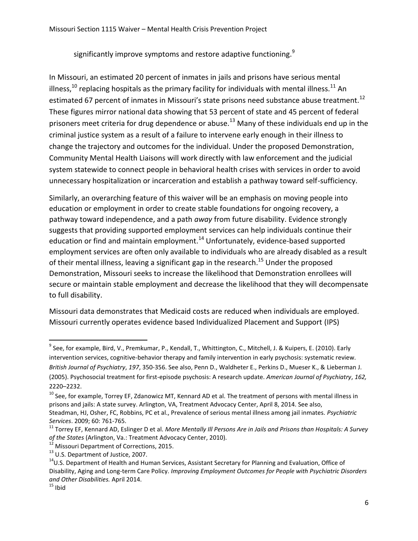significantly improve symptoms and restore adaptive functioning. $^{9}$ 

In Missouri, an estimated 20 percent of inmates in jails and prisons have serious mental illness,<sup>10</sup> replacing hospitals as the primary facility for individuals with mental illness.<sup>11</sup> An estimated 67 percent of inmates in Missouri's state prisons need substance abuse treatment.<sup>12</sup> These figures mirror national data showing that 53 percent of state and 45 percent of federal prisoners meet criteria for drug dependence or abuse.<sup>13</sup> Many of these individuals end up in the criminal justice system as a result of a failure to intervene early enough in their illness to change the trajectory and outcomes for the individual. Under the proposed Demonstration, Community Mental Health Liaisons will work directly with law enforcement and the judicial system statewide to connect people in behavioral health crises with services in order to avoid unnecessary hospitalization or incarceration and establish a pathway toward self-sufficiency.

Similarly, an overarching feature of this waiver will be an emphasis on moving people into education or employment in order to create stable foundations for ongoing recovery, a pathway toward independence, and a path *away* from future disability. Evidence strongly suggests that providing supported employment services can help individuals continue their education or find and maintain employment.<sup>14</sup> Unfortunately, evidence-based supported employment services are often only available to individuals who are already disabled as a result of their mental illness, leaving a significant gap in the research.<sup>15</sup> Under the proposed Demonstration, Missouri seeks to increase the likelihood that Demonstration enrollees will secure or maintain stable employment and decrease the likelihood that they will decompensate to full disability.

Missouri data demonstrates that Medicaid costs are reduced when individuals are employed. Missouri currently operates evidence based Individualized Placement and Support (IPS)

<sup>9&</sup>lt;br><sup>9</sup> See, for example, Bird, V., Premkumar, P., Kendall, T., Whittington, C., Mitchell, J. & Kuipers, E. (2010). Early intervention services, cognitive-behavior therapy and family intervention in early psychosis: systematic review. *British Journal of Psychiatry*, *197*, 350-356. See also, Penn D., Waldheter E., Perkins D., Mueser K., & Lieberman J. (2005). Psychosocial treatment for first-episode psychosis: A research update. *American Journal of Psychiatry*, *162,*  2220–2232.

<sup>&</sup>lt;sup>10</sup> See, for example, Torrey EF, Zdanowicz MT, Kennard AD et al. The treatment of persons with mental illness in prisons and jails: A state survey. Arlington, VA, Treatment Advocacy Center, April 8, 2014. See also,

Steadman, HJ, Osher, FC, Robbins, PC et al., Prevalence of serious mental illness among jail inmates. *Psychiatric Services*. 2009; 60: 761-765.

<sup>11</sup> Torrey EF, Kennard AD, Eslinger D et al. *More Mentally Ill Persons Are in Jails and Prisons than Hospitals: A Survey*  of the States (Arlington, Va.: Treatment Advocacy Center, 2010).

Missouri Department of Corrections, 2015.

<sup>&</sup>lt;sup>13</sup> U.S. Department of Justice, 2007.

<sup>&</sup>lt;sup>14</sup>U.S. Department of Health and Human Services, Assistant Secretary for Planning and Evaluation, Office of Disability, Aging and Long-term Care Policy. *Improving Employment Outcomes for People with Psychiatric Disorders and Other Disabilities.* April 2014.

 $15$  Ibid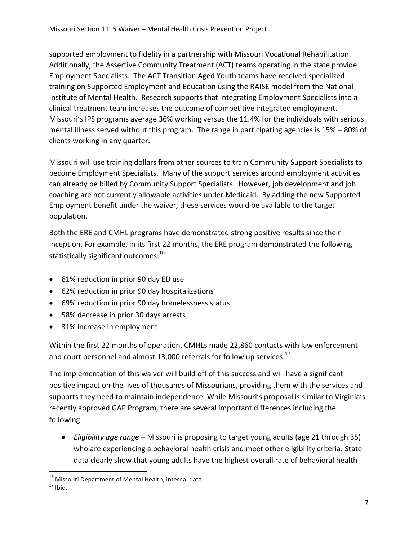supported employment to fidelity in a partnership with Missouri Vocational Rehabilitation. Additionally, the Assertive Community Treatment (ACT) teams operating in the state provide Employment Specialists. The ACT Transition Aged Youth teams have received specialized training on Supported Employment and Education using the RAISE model from the National Institute of Mental Health. Research supports that integrating Employment Specialists into a clinical treatment team increases the outcome of competitive integrated employment. Missouri's IPS programs average 36% working versus the 11.4% for the individuals with serious mental illness served without this program. The range in participating agencies is 15% – 80% of clients working in any quarter.

Missouri will use training dollars from other sources to train Community Support Specialists to become Employment Specialists. Many of the support services around employment activities can already be billed by Community Support Specialists. However, job development and job coaching are not currently allowable activities under Medicaid. By adding the new Supported Employment benefit under the waiver, these services would be available to the target population.

Both the ERE and CMHL programs have demonstrated strong positive results since their inception. For example, in its first 22 months, the ERE program demonstrated the following statistically significant outcomes:<sup>16</sup>

- 61% reduction in prior 90 day ED use
- 62% reduction in prior 90 day hospitalizations
- 69% reduction in prior 90 day homelessness status
- 58% decrease in prior 30 days arrests
- 31% increase in employment

Within the first 22 months of operation, CMHLs made 22,860 contacts with law enforcement and court personnel and almost 13,000 referrals for follow up services.<sup>17</sup>

The implementation of this waiver will build off of this success and will have a significant positive impact on the lives of thousands of Missourians, providing them with the services and supports they need to maintain independence. While Missouri's proposal is similar to Virginia's recently approved GAP Program, there are several important differences including the following:

 *Eligibility age range* – Missouri is proposing to target young adults (age 21 through 35) who are experiencing a behavioral health crisis and meet other eligibility criteria. State data clearly show that young adults have the highest overall rate of behavioral health

l <sup>16</sup> Missouri Department of Mental Health, internal data.

 $17$  Ibid.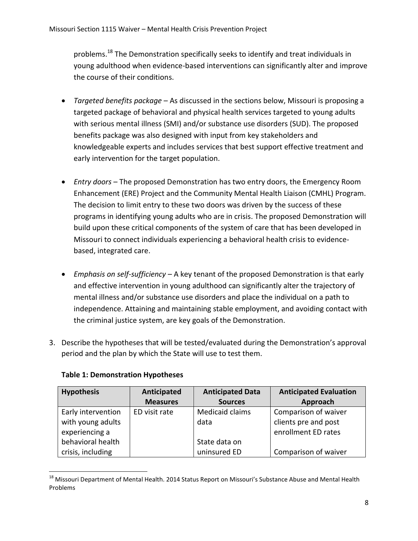problems.<sup>18</sup> The Demonstration specifically seeks to identify and treat individuals in young adulthood when evidence-based interventions can significantly alter and improve the course of their conditions.

- *Targeted benefits package* As discussed in the sections below, Missouri is proposing a targeted package of behavioral and physical health services targeted to young adults with serious mental illness (SMI) and/or substance use disorders (SUD). The proposed benefits package was also designed with input from key stakeholders and knowledgeable experts and includes services that best support effective treatment and early intervention for the target population.
- *Entry doors* The proposed Demonstration has two entry doors, the Emergency Room Enhancement (ERE) Project and the Community Mental Health Liaison (CMHL) Program. The decision to limit entry to these two doors was driven by the success of these programs in identifying young adults who are in crisis. The proposed Demonstration will build upon these critical components of the system of care that has been developed in Missouri to connect individuals experiencing a behavioral health crisis to evidencebased, integrated care.
- *Emphasis on self-sufficiency*  A key tenant of the proposed Demonstration is that early and effective intervention in young adulthood can significantly alter the trajectory of mental illness and/or substance use disorders and place the individual on a path to independence. Attaining and maintaining stable employment, and avoiding contact with the criminal justice system, are key goals of the Demonstration.
- 3. Describe the hypotheses that will be tested/evaluated during the Demonstration's approval period and the plan by which the State will use to test them.

| <b>Hypothesis</b>  | Anticipated     | <b>Anticipated Data</b> | <b>Anticipated Evaluation</b> |
|--------------------|-----------------|-------------------------|-------------------------------|
|                    | <b>Measures</b> | <b>Sources</b>          | Approach                      |
| Early intervention | ED visit rate   | Medicaid claims         | Comparison of waiver          |
| with young adults  |                 | data                    | clients pre and post          |
| experiencing a     |                 |                         | enrollment ED rates           |
| behavioral health  |                 | State data on           |                               |
| crisis, including  |                 | uninsured ED            | Comparison of waiver          |

## **Table 1: Demonstration Hypotheses**

l

 $^{18}$  Missouri Department of Mental Health. 2014 Status Report on Missouri's Substance Abuse and Mental Health Problems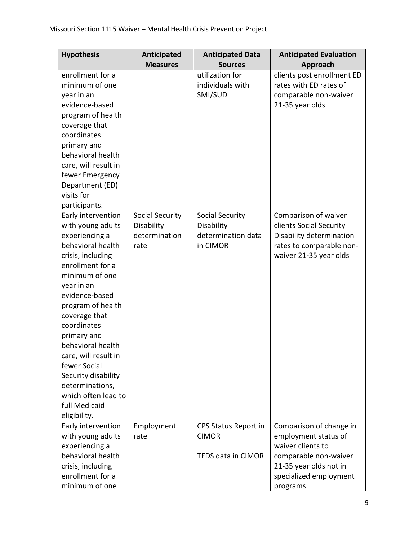| <b>Hypothesis</b>    | Anticipated            | <b>Anticipated Data</b> | <b>Anticipated Evaluation</b> |
|----------------------|------------------------|-------------------------|-------------------------------|
|                      | <b>Measures</b>        | <b>Sources</b>          | Approach                      |
| enrollment for a     |                        | utilization for         | clients post enrollment ED    |
| minimum of one       |                        | individuals with        | rates with ED rates of        |
| year in an           |                        | SMI/SUD                 | comparable non-waiver         |
| evidence-based       |                        |                         | 21-35 year olds               |
| program of health    |                        |                         |                               |
| coverage that        |                        |                         |                               |
| coordinates          |                        |                         |                               |
| primary and          |                        |                         |                               |
| behavioral health    |                        |                         |                               |
| care, will result in |                        |                         |                               |
| fewer Emergency      |                        |                         |                               |
| Department (ED)      |                        |                         |                               |
| visits for           |                        |                         |                               |
| participants.        |                        |                         |                               |
| Early intervention   | <b>Social Security</b> | <b>Social Security</b>  | Comparison of waiver          |
| with young adults    | Disability             | Disability              | clients Social Security       |
| experiencing a       | determination          | determination data      | Disability determination      |
| behavioral health    | rate                   | in CIMOR                | rates to comparable non-      |
| crisis, including    |                        |                         | waiver 21-35 year olds        |
| enrollment for a     |                        |                         |                               |
| minimum of one       |                        |                         |                               |
| year in an           |                        |                         |                               |
| evidence-based       |                        |                         |                               |
| program of health    |                        |                         |                               |
| coverage that        |                        |                         |                               |
| coordinates          |                        |                         |                               |
| primary and          |                        |                         |                               |
| behavioral health    |                        |                         |                               |
| care, will result in |                        |                         |                               |
| fewer Social         |                        |                         |                               |
| Security disability  |                        |                         |                               |
| determinations,      |                        |                         |                               |
| which often lead to  |                        |                         |                               |
| full Medicaid        |                        |                         |                               |
| eligibility.         |                        |                         |                               |
| Early intervention   | Employment             | CPS Status Report in    | Comparison of change in       |
| with young adults    | rate                   | <b>CIMOR</b>            | employment status of          |
| experiencing a       |                        |                         | waiver clients to             |
| behavioral health    |                        | TEDS data in CIMOR      | comparable non-waiver         |
| crisis, including    |                        |                         | 21-35 year olds not in        |
| enrollment for a     |                        |                         | specialized employment        |
| minimum of one       |                        |                         | programs                      |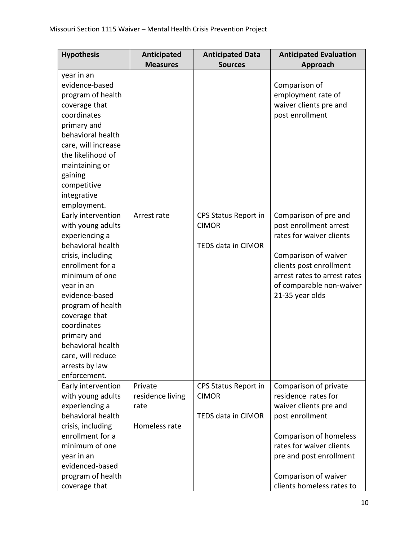| <b>Hypothesis</b>                                                                                                                                                                                                                                                                                                         | <b>Anticipated</b><br><b>Measures</b>                | <b>Anticipated Data</b><br><b>Sources</b>                  | <b>Anticipated Evaluation</b><br>Approach                                                                                                                                                                                       |
|---------------------------------------------------------------------------------------------------------------------------------------------------------------------------------------------------------------------------------------------------------------------------------------------------------------------------|------------------------------------------------------|------------------------------------------------------------|---------------------------------------------------------------------------------------------------------------------------------------------------------------------------------------------------------------------------------|
| year in an<br>evidence-based<br>program of health<br>coverage that<br>coordinates<br>primary and<br>behavioral health<br>care, will increase<br>the likelihood of<br>maintaining or<br>gaining<br>competitive<br>integrative<br>employment.                                                                               |                                                      |                                                            | Comparison of<br>employment rate of<br>waiver clients pre and<br>post enrollment                                                                                                                                                |
| Early intervention<br>with young adults<br>experiencing a<br>behavioral health<br>crisis, including<br>enrollment for a<br>minimum of one<br>year in an<br>evidence-based<br>program of health<br>coverage that<br>coordinates<br>primary and<br>behavioral health<br>care, will reduce<br>arrests by law<br>enforcement. | Arrest rate                                          | CPS Status Report in<br><b>CIMOR</b><br>TEDS data in CIMOR | Comparison of pre and<br>post enrollment arrest<br>rates for waiver clients<br>Comparison of waiver<br>clients post enrollment<br>arrest rates to arrest rates<br>of comparable non-waiver<br>21-35 year olds                   |
| Early intervention<br>with young adults<br>experiencing a<br>behavioral health<br>crisis, including<br>enrollment for a<br>minimum of one<br>year in an<br>evidenced-based<br>program of health<br>coverage that                                                                                                          | Private<br>residence living<br>rate<br>Homeless rate | CPS Status Report in<br><b>CIMOR</b><br>TEDS data in CIMOR | Comparison of private<br>residence rates for<br>waiver clients pre and<br>post enrollment<br>Comparison of homeless<br>rates for waiver clients<br>pre and post enrollment<br>Comparison of waiver<br>clients homeless rates to |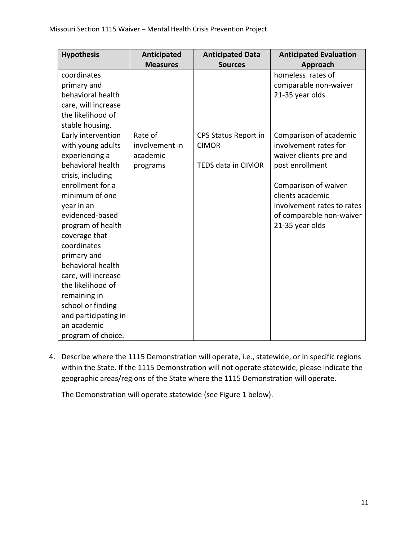| <b>Hypothesis</b>    | Anticipated     | <b>Anticipated Data</b>   | <b>Anticipated Evaluation</b> |
|----------------------|-----------------|---------------------------|-------------------------------|
|                      | <b>Measures</b> | <b>Sources</b>            | Approach                      |
| coordinates          |                 |                           | homeless rates of             |
| primary and          |                 |                           | comparable non-waiver         |
| behavioral health    |                 |                           | 21-35 year olds               |
| care, will increase  |                 |                           |                               |
| the likelihood of    |                 |                           |                               |
| stable housing.      |                 |                           |                               |
| Early intervention   | Rate of         | CPS Status Report in      | Comparison of academic        |
| with young adults    | involvement in  | <b>CIMOR</b>              | involvement rates for         |
| experiencing a       | academic        |                           | waiver clients pre and        |
| behavioral health    | programs        | <b>TEDS data in CIMOR</b> | post enrollment               |
| crisis, including    |                 |                           |                               |
| enrollment for a     |                 |                           | Comparison of waiver          |
| minimum of one       |                 |                           | clients academic              |
| year in an           |                 |                           | involvement rates to rates    |
| evidenced-based      |                 |                           | of comparable non-waiver      |
| program of health    |                 |                           | 21-35 year olds               |
| coverage that        |                 |                           |                               |
| coordinates          |                 |                           |                               |
| primary and          |                 |                           |                               |
| behavioral health    |                 |                           |                               |
| care, will increase  |                 |                           |                               |
| the likelihood of    |                 |                           |                               |
| remaining in         |                 |                           |                               |
| school or finding    |                 |                           |                               |
| and participating in |                 |                           |                               |
| an academic          |                 |                           |                               |
| program of choice.   |                 |                           |                               |

4. Describe where the 1115 Demonstration will operate, i.e., statewide, or in specific regions within the State. If the 1115 Demonstration will not operate statewide, please indicate the geographic areas/regions of the State where the 1115 Demonstration will operate.

The Demonstration will operate statewide (see Figure 1 below).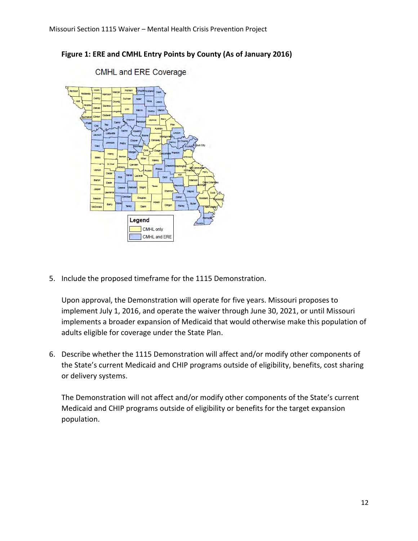

## **Figure 1: ERE and CMHL Entry Points by County (As of January 2016)**

**CMHL and ERE Coverage** 

5. Include the proposed timeframe for the 1115 Demonstration.

Upon approval, the Demonstration will operate for five years. Missouri proposes to implement July 1, 2016, and operate the waiver through June 30, 2021, or until Missouri implements a broader expansion of Medicaid that would otherwise make this population of adults eligible for coverage under the State Plan.

6. Describe whether the 1115 Demonstration will affect and/or modify other components of the State's current Medicaid and CHIP programs outside of eligibility, benefits, cost sharing or delivery systems.

The Demonstration will not affect and/or modify other components of the State's current Medicaid and CHIP programs outside of eligibility or benefits for the target expansion population.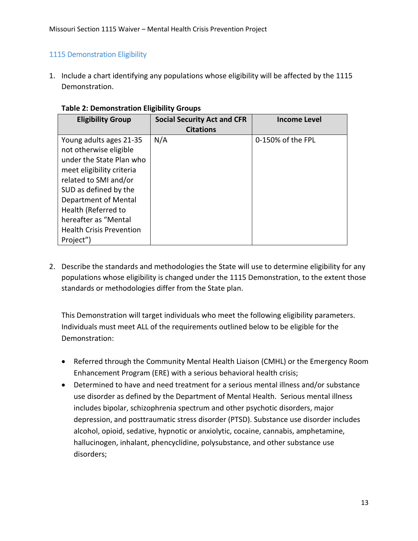## 1115 Demonstration Eligibility

1. Include a chart identifying any populations whose eligibility will be affected by the 1115 Demonstration.

| סקמטיש וישומי                                                                                                                                                                                                                                                                       |                                                        |                   |  |
|-------------------------------------------------------------------------------------------------------------------------------------------------------------------------------------------------------------------------------------------------------------------------------------|--------------------------------------------------------|-------------------|--|
| <b>Eligibility Group</b>                                                                                                                                                                                                                                                            | <b>Social Security Act and CFR</b><br><b>Citations</b> | Income Level      |  |
| Young adults ages 21-35<br>not otherwise eligible<br>under the State Plan who<br>meet eligibility criteria<br>related to SMI and/or<br>SUD as defined by the<br>Department of Mental<br>Health (Referred to<br>hereafter as "Mental<br><b>Health Crisis Prevention</b><br>Project") | N/A                                                    | 0-150% of the FPL |  |

#### **Table 2: Demonstration Eligibility Groups**

2. Describe the standards and methodologies the State will use to determine eligibility for any populations whose eligibility is changed under the 1115 Demonstration, to the extent those standards or methodologies differ from the State plan.

This Demonstration will target individuals who meet the following eligibility parameters. Individuals must meet ALL of the requirements outlined below to be eligible for the Demonstration:

- Referred through the Community Mental Health Liaison (CMHL) or the Emergency Room Enhancement Program (ERE) with a serious behavioral health crisis;
- Determined to have and need treatment for a serious mental illness and/or substance use disorder as defined by the Department of Mental Health. Serious mental illness includes bipolar, schizophrenia spectrum and other psychotic disorders, major depression, and posttraumatic stress disorder (PTSD). Substance use disorder includes alcohol, opioid, sedative, hypnotic or anxiolytic, cocaine, cannabis, amphetamine, hallucinogen, inhalant, phencyclidine, polysubstance, and other substance use disorders;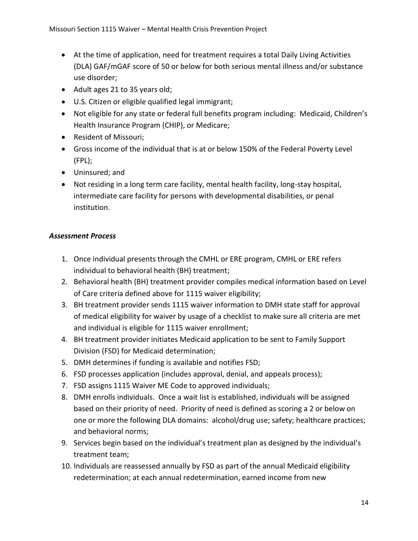- At the time of application, need for treatment requires a total Daily Living Activities (DLA) GAF/mGAF score of 50 or below for both serious mental illness and/or substance use disorder;
- Adult ages 21 to 35 years old;
- U.S. Citizen or eligible qualified legal immigrant;
- Not eligible for any state or federal full benefits program including: Medicaid, Children's Health Insurance Program (CHIP), or Medicare;
- Resident of Missouri;
- Gross income of the individual that is at or below 150% of the Federal Poverty Level (FPL);
- Uninsured; and
- Not residing in a long term care facility, mental health facility, long-stay hospital, intermediate care facility for persons with developmental disabilities, or penal institution.

# *Assessment Process*

- 1. Once individual presents through the CMHL or ERE program, CMHL or ERE refers individual to behavioral health (BH) treatment;
- 2. Behavioral health (BH) treatment provider compiles medical information based on Level of Care criteria defined above for 1115 waiver eligibility;
- 3. BH treatment provider sends 1115 waiver information to DMH state staff for approval of medical eligibility for waiver by usage of a checklist to make sure all criteria are met and individual is eligible for 1115 waiver enrollment;
- 4. BH treatment provider initiates Medicaid application to be sent to Family Support Division (FSD) for Medicaid determination;
- 5. DMH determines if funding is available and notifies FSD;
- 6. FSD processes application (includes approval, denial, and appeals process);
- 7. FSD assigns 1115 Waiver ME Code to approved individuals;
- 8. DMH enrolls individuals. Once a wait list is established, individuals will be assigned based on their priority of need. Priority of need is defined as scoring a 2 or below on one or more the following DLA domains: alcohol/drug use; safety; healthcare practices; and behavioral norms;
- 9. Services begin based on the individual's treatment plan as designed by the individual's treatment team;
- 10. Individuals are reassessed annually by FSD as part of the annual Medicaid eligibility redetermination; at each annual redetermination, earned income from new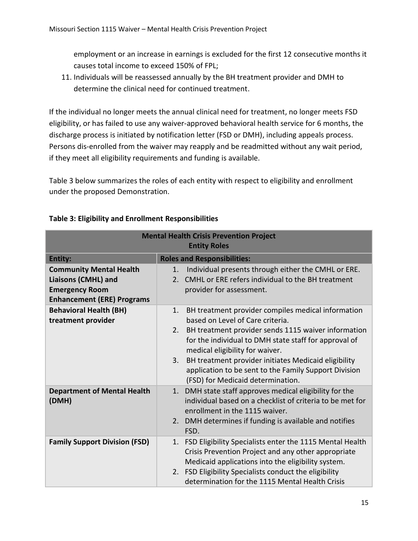employment or an increase in earnings is excluded for the first 12 consecutive months it causes total income to exceed 150% of FPL;

11. Individuals will be reassessed annually by the BH treatment provider and DMH to determine the clinical need for continued treatment.

If the individual no longer meets the annual clinical need for treatment, no longer meets FSD eligibility, or has failed to use any waiver-approved behavioral health service for 6 months, the discharge process is initiated by notification letter (FSD or DMH), including appeals process. Persons dis-enrolled from the waiver may reapply and be readmitted without any wait period, if they meet all eligibility requirements and funding is available.

Table 3 below summarizes the roles of each entity with respect to eligibility and enrollment under the proposed Demonstration.

| <b>Mental Health Crisis Prevention Project</b>      |                                                                                                                                                                             |  |  |
|-----------------------------------------------------|-----------------------------------------------------------------------------------------------------------------------------------------------------------------------------|--|--|
|                                                     | <b>Entity Roles</b>                                                                                                                                                         |  |  |
| <b>Entity:</b>                                      | <b>Roles and Responsibilities:</b>                                                                                                                                          |  |  |
| <b>Community Mental Health</b>                      | Individual presents through either the CMHL or ERE.<br>1.                                                                                                                   |  |  |
| <b>Liaisons (CMHL) and</b>                          | CMHL or ERE refers individual to the BH treatment<br>2.                                                                                                                     |  |  |
| <b>Emergency Room</b>                               | provider for assessment.                                                                                                                                                    |  |  |
| <b>Enhancement (ERE) Programs</b>                   |                                                                                                                                                                             |  |  |
| <b>Behavioral Health (BH)</b><br>treatment provider | BH treatment provider compiles medical information<br>1.<br>based on Level of Care criteria.                                                                                |  |  |
|                                                     | BH treatment provider sends 1115 waiver information<br>2.<br>for the individual to DMH state staff for approval of<br>medical eligibility for waiver.                       |  |  |
|                                                     | BH treatment provider initiates Medicaid eligibility<br>3.<br>application to be sent to the Family Support Division<br>(FSD) for Medicaid determination.                    |  |  |
| <b>Department of Mental Health</b><br>(DMH)         | DMH state staff approves medical eligibility for the<br>1.<br>individual based on a checklist of criteria to be met for<br>enrollment in the 1115 waiver.                   |  |  |
|                                                     | DMH determines if funding is available and notifies<br>2.<br>FSD.                                                                                                           |  |  |
| <b>Family Support Division (FSD)</b>                | FSD Eligibility Specialists enter the 1115 Mental Health<br>1.<br>Crisis Prevention Project and any other appropriate<br>Medicaid applications into the eligibility system. |  |  |
|                                                     | FSD Eligibility Specialists conduct the eligibility<br>2.<br>determination for the 1115 Mental Health Crisis                                                                |  |  |

## **Table 3: Eligibility and Enrollment Responsibilities**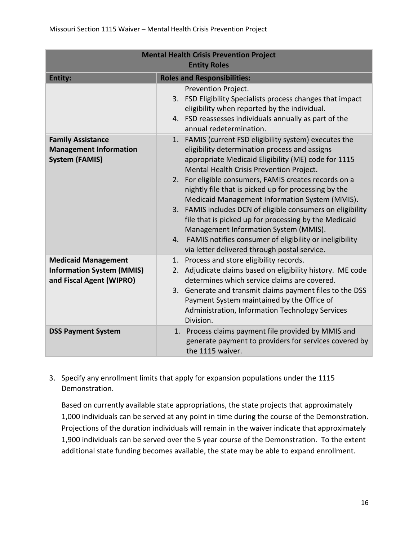| <b>Mental Health Crisis Prevention Project</b>                                             |                                                                                                                                                                                                                                                                                                                                                                                                                                                                                                                                                                                                                                                                   |  |
|--------------------------------------------------------------------------------------------|-------------------------------------------------------------------------------------------------------------------------------------------------------------------------------------------------------------------------------------------------------------------------------------------------------------------------------------------------------------------------------------------------------------------------------------------------------------------------------------------------------------------------------------------------------------------------------------------------------------------------------------------------------------------|--|
| <b>Entity Roles</b>                                                                        |                                                                                                                                                                                                                                                                                                                                                                                                                                                                                                                                                                                                                                                                   |  |
| <b>Entity:</b>                                                                             | <b>Roles and Responsibilities:</b>                                                                                                                                                                                                                                                                                                                                                                                                                                                                                                                                                                                                                                |  |
|                                                                                            | Prevention Project.<br>3. FSD Eligibility Specialists process changes that impact<br>eligibility when reported by the individual.<br>4. FSD reassesses individuals annually as part of the<br>annual redetermination.                                                                                                                                                                                                                                                                                                                                                                                                                                             |  |
| <b>Family Assistance</b><br><b>Management Information</b><br><b>System (FAMIS)</b>         | 1. FAMIS (current FSD eligibility system) executes the<br>eligibility determination process and assigns<br>appropriate Medicaid Eligibility (ME) code for 1115<br>Mental Health Crisis Prevention Project.<br>For eligible consumers, FAMIS creates records on a<br>2.<br>nightly file that is picked up for processing by the<br>Medicaid Management Information System (MMIS).<br>3. FAMIS includes DCN of eligible consumers on eligibility<br>file that is picked up for processing by the Medicaid<br>Management Information System (MMIS).<br>FAMIS notifies consumer of eligibility or ineligibility<br>4.<br>via letter delivered through postal service. |  |
| <b>Medicaid Management</b><br><b>Information System (MMIS)</b><br>and Fiscal Agent (WIPRO) | 1. Process and store eligibility records.<br>Adjudicate claims based on eligibility history. ME code<br>2.<br>determines which service claims are covered.<br>3. Generate and transmit claims payment files to the DSS<br>Payment System maintained by the Office of<br>Administration, Information Technology Services<br>Division.                                                                                                                                                                                                                                                                                                                              |  |
| <b>DSS Payment System</b>                                                                  | Process claims payment file provided by MMIS and<br>1.<br>generate payment to providers for services covered by<br>the 1115 waiver.                                                                                                                                                                                                                                                                                                                                                                                                                                                                                                                               |  |

3. Specify any enrollment limits that apply for expansion populations under the 1115 Demonstration.

Based on currently available state appropriations, the state projects that approximately 1,000 individuals can be served at any point in time during the course of the Demonstration. Projections of the duration individuals will remain in the waiver indicate that approximately 1,900 individuals can be served over the 5 year course of the Demonstration. To the extent additional state funding becomes available, the state may be able to expand enrollment.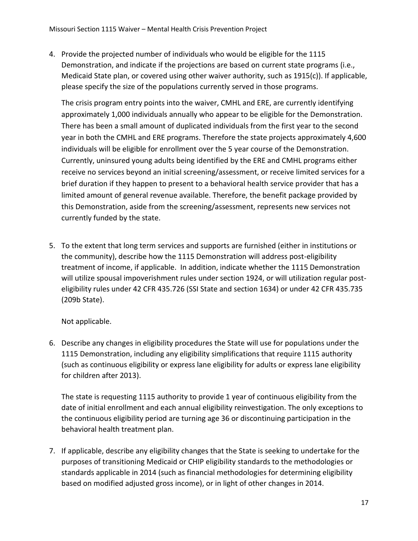4. Provide the projected number of individuals who would be eligible for the 1115 Demonstration, and indicate if the projections are based on current state programs (i.e., Medicaid State plan, or covered using other waiver authority, such as 1915(c)). If applicable, please specify the size of the populations currently served in those programs.

The crisis program entry points into the waiver, CMHL and ERE, are currently identifying approximately 1,000 individuals annually who appear to be eligible for the Demonstration. There has been a small amount of duplicated individuals from the first year to the second year in both the CMHL and ERE programs. Therefore the state projects approximately 4,600 individuals will be eligible for enrollment over the 5 year course of the Demonstration. Currently, uninsured young adults being identified by the ERE and CMHL programs either receive no services beyond an initial screening/assessment, or receive limited services for a brief duration if they happen to present to a behavioral health service provider that has a limited amount of general revenue available. Therefore, the benefit package provided by this Demonstration, aside from the screening/assessment, represents new services not currently funded by the state.

5. To the extent that long term services and supports are furnished (either in institutions or the community), describe how the 1115 Demonstration will address post-eligibility treatment of income, if applicable. In addition, indicate whether the 1115 Demonstration will utilize spousal impoverishment rules under section 1924, or will utilization regular posteligibility rules under 42 CFR 435.726 (SSI State and section 1634) or under 42 CFR 435.735 (209b State).

Not applicable.

6. Describe any changes in eligibility procedures the State will use for populations under the 1115 Demonstration, including any eligibility simplifications that require 1115 authority (such as continuous eligibility or express lane eligibility for adults or express lane eligibility for children after 2013).

The state is requesting 1115 authority to provide 1 year of continuous eligibility from the date of initial enrollment and each annual eligibility reinvestigation. The only exceptions to the continuous eligibility period are turning age 36 or discontinuing participation in the behavioral health treatment plan.

7. If applicable, describe any eligibility changes that the State is seeking to undertake for the purposes of transitioning Medicaid or CHIP eligibility standards to the methodologies or standards applicable in 2014 (such as financial methodologies for determining eligibility based on modified adjusted gross income), or in light of other changes in 2014.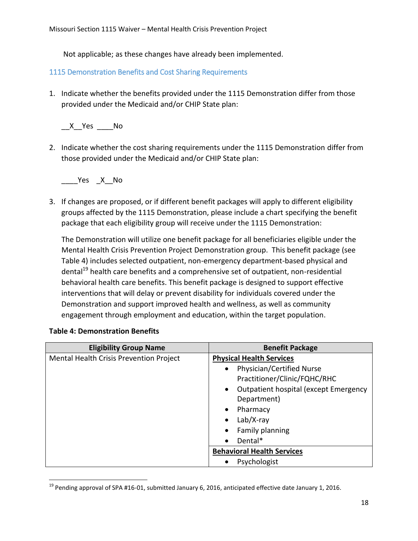Not applicable; as these changes have already been implemented.

# 1115 Demonstration Benefits and Cost Sharing Requirements

1. Indicate whether the benefits provided under the 1115 Demonstration differ from those provided under the Medicaid and/or CHIP State plan:

 $X$  Yes \_\_\_\_\_\_ No

2. Indicate whether the cost sharing requirements under the 1115 Demonstration differ from those provided under the Medicaid and/or CHIP State plan:

Yes X No

3. If changes are proposed, or if different benefit packages will apply to different eligibility groups affected by the 1115 Demonstration, please include a chart specifying the benefit package that each eligibility group will receive under the 1115 Demonstration:

The Demonstration will utilize one benefit package for all beneficiaries eligible under the Mental Health Crisis Prevention Project Demonstration group. This benefit package (see Table 4) includes selected outpatient, non-emergency department-based physical and dental<sup>19</sup> health care benefits and a comprehensive set of outpatient, non-residential behavioral health care benefits. This benefit package is designed to support effective interventions that will delay or prevent disability for individuals covered under the Demonstration and support improved health and wellness, as well as community engagement through employment and education, within the target population.

| <b>Eligibility Group Name</b>           | <b>Benefit Package</b>                             |
|-----------------------------------------|----------------------------------------------------|
| Mental Health Crisis Prevention Project | <b>Physical Health Services</b>                    |
|                                         | Physician/Certified Nurse<br>٠                     |
|                                         | Practitioner/Clinic/FQHC/RHC                       |
|                                         | Outpatient hospital (except Emergency<br>$\bullet$ |
|                                         | Department)                                        |
|                                         | Pharmacy                                           |
|                                         | $Lab/X-ray$                                        |
|                                         | Family planning                                    |
|                                         | Dental*                                            |
|                                         | <b>Behavioral Health Services</b>                  |
|                                         | Psychologist                                       |

## **Table 4: Demonstration Benefits**

 $\overline{\phantom{a}}$ 

 $19$  Pending approval of SPA #16-01, submitted January 6, 2016, anticipated effective date January 1, 2016.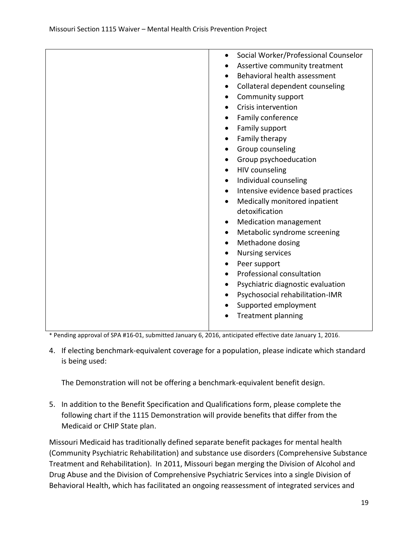| Social Worker/Professional Counselor            |
|-------------------------------------------------|
| Assertive community treatment<br>$\bullet$      |
| Behavioral health assessment<br>٠               |
| Collateral dependent counseling<br>٠            |
| Community support<br>$\bullet$                  |
| Crisis intervention<br>$\bullet$                |
| Family conference<br>٠                          |
| Family support<br>$\bullet$                     |
| Family therapy<br>$\bullet$                     |
| Group counseling<br>$\bullet$                   |
| Group psychoeducation<br>$\bullet$              |
| HIV counseling<br>$\bullet$                     |
| Individual counseling<br>$\bullet$              |
| Intensive evidence based practices<br>$\bullet$ |
| Medically monitored inpatient<br>$\bullet$      |
| detoxification                                  |
| <b>Medication management</b><br>٠               |
| Metabolic syndrome screening<br>$\bullet$       |
| Methadone dosing<br>$\bullet$                   |
| <b>Nursing services</b><br>$\bullet$            |
| Peer support<br>$\bullet$                       |
| Professional consultation<br>$\bullet$          |
| Psychiatric diagnostic evaluation<br>$\bullet$  |
| Psychosocial rehabilitation-IMR<br>$\bullet$    |
| Supported employment                            |
| <b>Treatment planning</b>                       |
|                                                 |

\* Pending approval of SPA #16-01, submitted January 6, 2016, anticipated effective date January 1, 2016.

4. If electing benchmark-equivalent coverage for a population, please indicate which standard is being used:

The Demonstration will not be offering a benchmark-equivalent benefit design.

5. In addition to the Benefit Specification and Qualifications form, please complete the following chart if the 1115 Demonstration will provide benefits that differ from the Medicaid or CHIP State plan.

Missouri Medicaid has traditionally defined separate benefit packages for mental health (Community Psychiatric Rehabilitation) and substance use disorders (Comprehensive Substance Treatment and Rehabilitation). In 2011, Missouri began merging the Division of Alcohol and Drug Abuse and the Division of Comprehensive Psychiatric Services into a single Division of Behavioral Health, which has facilitated an ongoing reassessment of integrated services and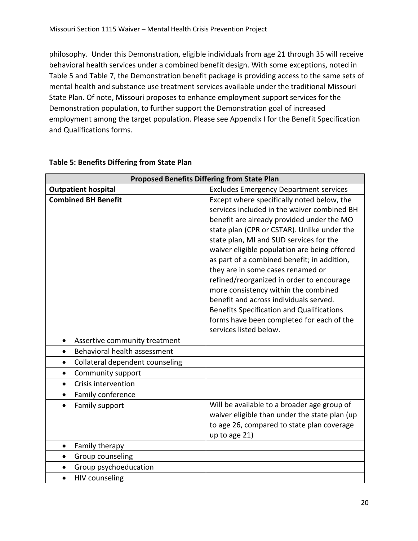philosophy. Under this Demonstration, eligible individuals from age 21 through 35 will receive behavioral health services under a combined benefit design. With some exceptions, noted in Table 5 and Table 7, the Demonstration benefit package is providing access to the same sets of mental health and substance use treatment services available under the traditional Missouri State Plan. Of note, Missouri proposes to enhance employment support services for the Demonstration population, to further support the Demonstration goal of increased employment among the target population. Please see Appendix I for the Benefit Specification and Qualifications forms.

| <b>Proposed Benefits Differing from State Plan</b> |                                                                                                                                                                                                                                                                                                                                                                                                                                                                                                     |  |
|----------------------------------------------------|-----------------------------------------------------------------------------------------------------------------------------------------------------------------------------------------------------------------------------------------------------------------------------------------------------------------------------------------------------------------------------------------------------------------------------------------------------------------------------------------------------|--|
| <b>Outpatient hospital</b>                         | <b>Excludes Emergency Department services</b>                                                                                                                                                                                                                                                                                                                                                                                                                                                       |  |
| <b>Combined BH Benefit</b>                         | Except where specifically noted below, the<br>services included in the waiver combined BH<br>benefit are already provided under the MO<br>state plan (CPR or CSTAR). Unlike under the<br>state plan, MI and SUD services for the<br>waiver eligible population are being offered<br>as part of a combined benefit; in addition,<br>they are in some cases renamed or<br>refined/reorganized in order to encourage<br>more consistency within the combined<br>benefit and across individuals served. |  |
|                                                    | <b>Benefits Specification and Qualifications</b><br>forms have been completed for each of the<br>services listed below.                                                                                                                                                                                                                                                                                                                                                                             |  |
| Assertive community treatment<br>$\bullet$         |                                                                                                                                                                                                                                                                                                                                                                                                                                                                                                     |  |
| Behavioral health assessment<br>$\bullet$          |                                                                                                                                                                                                                                                                                                                                                                                                                                                                                                     |  |
| Collateral dependent counseling<br>$\bullet$       |                                                                                                                                                                                                                                                                                                                                                                                                                                                                                                     |  |
| Community support<br>$\bullet$                     |                                                                                                                                                                                                                                                                                                                                                                                                                                                                                                     |  |
| Crisis intervention<br>$\bullet$                   |                                                                                                                                                                                                                                                                                                                                                                                                                                                                                                     |  |
| Family conference<br>$\bullet$                     |                                                                                                                                                                                                                                                                                                                                                                                                                                                                                                     |  |
| Family support                                     | Will be available to a broader age group of<br>waiver eligible than under the state plan (up<br>to age 26, compared to state plan coverage<br>up to age 21)                                                                                                                                                                                                                                                                                                                                         |  |
| Family therapy<br>٠                                |                                                                                                                                                                                                                                                                                                                                                                                                                                                                                                     |  |
| Group counseling<br>$\bullet$                      |                                                                                                                                                                                                                                                                                                                                                                                                                                                                                                     |  |
| Group psychoeducation<br>$\bullet$                 |                                                                                                                                                                                                                                                                                                                                                                                                                                                                                                     |  |
| <b>HIV counseling</b><br>$\bullet$                 |                                                                                                                                                                                                                                                                                                                                                                                                                                                                                                     |  |

#### **Table 5: Benefits Differing from State Plan**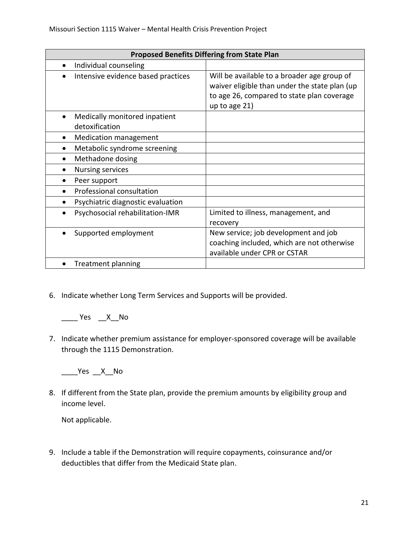| <b>Proposed Benefits Differing from State Plan</b> |                                                                                                                                                             |  |
|----------------------------------------------------|-------------------------------------------------------------------------------------------------------------------------------------------------------------|--|
| Individual counseling                              |                                                                                                                                                             |  |
| Intensive evidence based practices                 | Will be available to a broader age group of<br>waiver eligible than under the state plan (up<br>to age 26, compared to state plan coverage<br>up to age 21) |  |
| Medically monitored inpatient<br>detoxification    |                                                                                                                                                             |  |
| <b>Medication management</b>                       |                                                                                                                                                             |  |
| Metabolic syndrome screening                       |                                                                                                                                                             |  |
| Methadone dosing                                   |                                                                                                                                                             |  |
| <b>Nursing services</b>                            |                                                                                                                                                             |  |
| Peer support                                       |                                                                                                                                                             |  |
| Professional consultation                          |                                                                                                                                                             |  |
| Psychiatric diagnostic evaluation                  |                                                                                                                                                             |  |
| Psychosocial rehabilitation-IMR                    | Limited to illness, management, and<br>recovery                                                                                                             |  |
| Supported employment                               | New service; job development and job<br>coaching included, which are not otherwise<br>available under CPR or CSTAR                                          |  |
| <b>Treatment planning</b>                          |                                                                                                                                                             |  |

6. Indicate whether Long Term Services and Supports will be provided.

 $\frac{1}{2}$  Yes  $\frac{1}{2}$  X No

7. Indicate whether premium assistance for employer-sponsored coverage will be available through the 1115 Demonstration.

\_\_\_\_Yes \_\_X\_\_No

8. If different from the State plan, provide the premium amounts by eligibility group and income level.

Not applicable.

9. Include a table if the Demonstration will require copayments, coinsurance and/or deductibles that differ from the Medicaid State plan.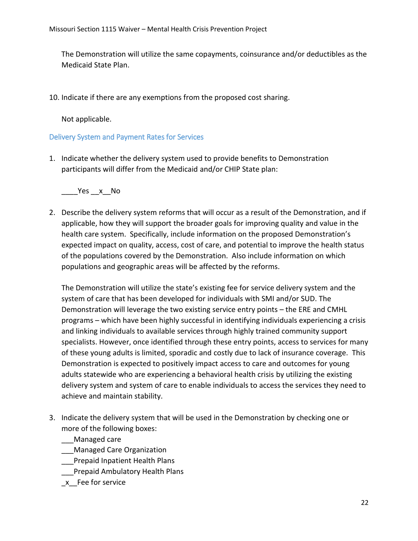The Demonstration will utilize the same copayments, coinsurance and/or deductibles as the Medicaid State Plan.

10. Indicate if there are any exemptions from the proposed cost sharing.

Not applicable.

Delivery System and Payment Rates for Services

1. Indicate whether the delivery system used to provide benefits to Demonstration participants will differ from the Medicaid and/or CHIP State plan:

\_\_\_\_Yes \_\_x\_\_No

2. Describe the delivery system reforms that will occur as a result of the Demonstration, and if applicable, how they will support the broader goals for improving quality and value in the health care system. Specifically, include information on the proposed Demonstration's expected impact on quality, access, cost of care, and potential to improve the health status of the populations covered by the Demonstration. Also include information on which populations and geographic areas will be affected by the reforms.

The Demonstration will utilize the state's existing fee for service delivery system and the system of care that has been developed for individuals with SMI and/or SUD. The Demonstration will leverage the two existing service entry points – the ERE and CMHL programs – which have been highly successful in identifying individuals experiencing a crisis and linking individuals to available services through highly trained community support specialists. However, once identified through these entry points, access to services for many of these young adults is limited, sporadic and costly due to lack of insurance coverage. This Demonstration is expected to positively impact access to care and outcomes for young adults statewide who are experiencing a behavioral health crisis by utilizing the existing delivery system and system of care to enable individuals to access the services they need to achieve and maintain stability.

3. Indicate the delivery system that will be used in the Demonstration by checking one or more of the following boxes:

\_\_\_Managed care

- \_\_\_Managed Care Organization
- \_\_\_Prepaid Inpatient Health Plans
- \_\_\_Prepaid Ambulatory Health Plans
- \_x\_\_Fee for service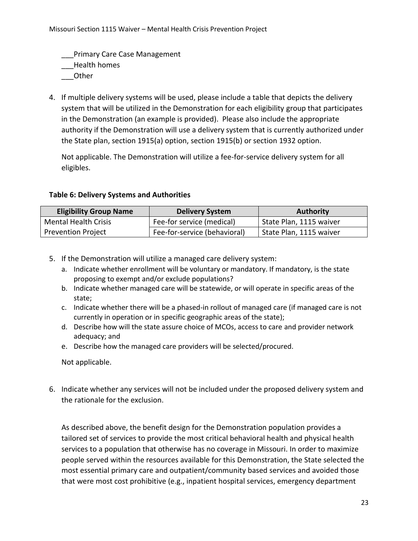Primary Care Case Management

\_\_\_Health homes

- \_\_\_Other
- 4. If multiple delivery systems will be used, please include a table that depicts the delivery system that will be utilized in the Demonstration for each eligibility group that participates in the Demonstration (an example is provided). Please also include the appropriate authority if the Demonstration will use a delivery system that is currently authorized under the State plan, section 1915(a) option, section 1915(b) or section 1932 option.

Not applicable. The Demonstration will utilize a fee-for-service delivery system for all eligibles.

## **Table 6: Delivery Systems and Authorities**

| <b>Eligibility Group Name</b> | <b>Delivery System</b>       | <b>Authority</b>        |
|-------------------------------|------------------------------|-------------------------|
| <b>Mental Health Crisis</b>   | Fee-for service (medical)    | State Plan, 1115 waiver |
| <b>Prevention Project</b>     | Fee-for-service (behavioral) | State Plan, 1115 waiver |

- 5. If the Demonstration will utilize a managed care delivery system:
	- a. Indicate whether enrollment will be voluntary or mandatory. If mandatory, is the state proposing to exempt and/or exclude populations?
	- b. Indicate whether managed care will be statewide, or will operate in specific areas of the state;
	- c. Indicate whether there will be a phased-in rollout of managed care (if managed care is not currently in operation or in specific geographic areas of the state);
	- d. Describe how will the state assure choice of MCOs, access to care and provider network adequacy; and
	- e. Describe how the managed care providers will be selected/procured.

Not applicable.

6. Indicate whether any services will not be included under the proposed delivery system and the rationale for the exclusion.

As described above, the benefit design for the Demonstration population provides a tailored set of services to provide the most critical behavioral health and physical health services to a population that otherwise has no coverage in Missouri. In order to maximize people served within the resources available for this Demonstration, the State selected the most essential primary care and outpatient/community based services and avoided those that were most cost prohibitive (e.g., inpatient hospital services, emergency department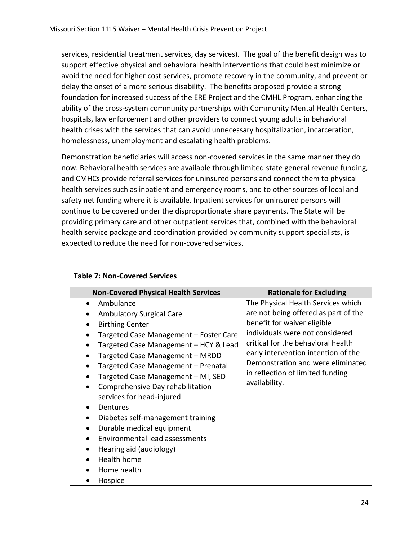services, residential treatment services, day services). The goal of the benefit design was to support effective physical and behavioral health interventions that could best minimize or avoid the need for higher cost services, promote recovery in the community, and prevent or delay the onset of a more serious disability. The benefits proposed provide a strong foundation for increased success of the ERE Project and the CMHL Program, enhancing the ability of the cross-system community partnerships with Community Mental Health Centers, hospitals, law enforcement and other providers to connect young adults in behavioral health crises with the services that can avoid unnecessary hospitalization, incarceration, homelessness, unemployment and escalating health problems.

Demonstration beneficiaries will access non-covered services in the same manner they do now. Behavioral health services are available through limited state general revenue funding, and CMHCs provide referral services for uninsured persons and connect them to physical health services such as inpatient and emergency rooms, and to other sources of local and safety net funding where it is available. Inpatient services for uninsured persons will continue to be covered under the disproportionate share payments. The State will be providing primary care and other outpatient services that, combined with the behavioral health service package and coordination provided by community support specialists, is expected to reduce the need for non-covered services.

| <b>Non-Covered Physical Health Services</b> | <b>Rationale for Excluding</b>       |
|---------------------------------------------|--------------------------------------|
| Ambulance                                   | The Physical Health Services which   |
| <b>Ambulatory Surgical Care</b>             | are not being offered as part of the |
| <b>Birthing Center</b>                      | benefit for waiver eligible          |
| Targeted Case Management - Foster Care      | individuals were not considered      |
| Targeted Case Management - HCY & Lead       | critical for the behavioral health   |
| Targeted Case Management - MRDD             | early intervention intention of the  |
| Targeted Case Management - Prenatal         | Demonstration and were eliminated    |
| Targeted Case Management - MI, SED          | in reflection of limited funding     |
| Comprehensive Day rehabilitation            | availability.                        |
| services for head-injured                   |                                      |
| Dentures                                    |                                      |
| Diabetes self-management training           |                                      |
| Durable medical equipment                   |                                      |
| Environmental lead assessments              |                                      |
| Hearing aid (audiology)                     |                                      |
| Health home                                 |                                      |
| Home health                                 |                                      |
| Hospice                                     |                                      |

#### **Table 7: Non-Covered Services**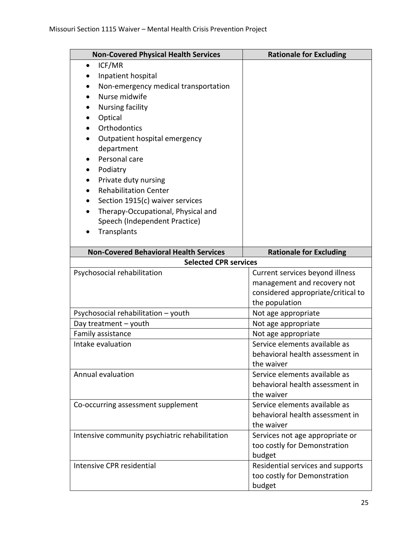| <b>Non-Covered Physical Health Services</b>    | <b>Rationale for Excluding</b>                       |
|------------------------------------------------|------------------------------------------------------|
| ICF/MR<br>$\bullet$                            |                                                      |
| Inpatient hospital                             |                                                      |
| Non-emergency medical transportation           |                                                      |
| Nurse midwife                                  |                                                      |
| Nursing facility                               |                                                      |
| Optical                                        |                                                      |
| Orthodontics                                   |                                                      |
| Outpatient hospital emergency                  |                                                      |
| department                                     |                                                      |
| Personal care                                  |                                                      |
| Podiatry                                       |                                                      |
| Private duty nursing                           |                                                      |
| <b>Rehabilitation Center</b>                   |                                                      |
| Section 1915(c) waiver services                |                                                      |
| Therapy-Occupational, Physical and             |                                                      |
| Speech (Independent Practice)                  |                                                      |
| Transplants                                    |                                                      |
|                                                |                                                      |
| <b>Non-Covered Behavioral Health Services</b>  | <b>Rationale for Excluding</b>                       |
| <b>Selected CPR services</b>                   |                                                      |
| Psychosocial rehabilitation                    | Current services beyond illness                      |
|                                                | management and recovery not                          |
|                                                | considered appropriate/critical to                   |
|                                                | the population                                       |
| Psychosocial rehabilitation - youth            | Not age appropriate                                  |
| Day treatment - youth<br>Family assistance     | Not age appropriate                                  |
| Intake evaluation                              | Not age appropriate<br>Service elements available as |
|                                                | behavioral health assessment in                      |
|                                                | the waiver                                           |
| Annual evaluation                              | Service elements available as                        |
|                                                | behavioral health assessment in                      |
|                                                | the waiver                                           |
| Co-occurring assessment supplement             | Service elements available as                        |
|                                                | behavioral health assessment in                      |
|                                                | the waiver                                           |
| Intensive community psychiatric rehabilitation | Services not age appropriate or                      |
|                                                | too costly for Demonstration                         |
|                                                | budget                                               |
| Intensive CPR residential                      | Residential services and supports                    |
|                                                | too costly for Demonstration                         |
|                                                | budget                                               |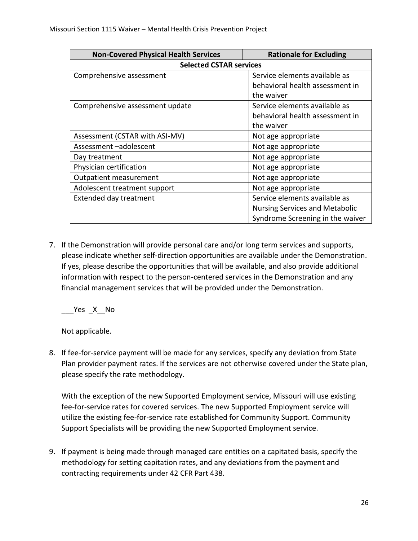| <b>Non-Covered Physical Health Services</b> | <b>Rationale for Excluding</b>        |  |
|---------------------------------------------|---------------------------------------|--|
| <b>Selected CSTAR services</b>              |                                       |  |
| Comprehensive assessment                    | Service elements available as         |  |
|                                             | behavioral health assessment in       |  |
|                                             | the waiver                            |  |
| Comprehensive assessment update             | Service elements available as         |  |
|                                             | behavioral health assessment in       |  |
|                                             | the waiver                            |  |
| Assessment (CSTAR with ASI-MV)              | Not age appropriate                   |  |
| Assessment-adolescent                       | Not age appropriate                   |  |
| Day treatment                               | Not age appropriate                   |  |
| Physician certification                     | Not age appropriate                   |  |
| Outpatient measurement                      | Not age appropriate                   |  |
| Adolescent treatment support                | Not age appropriate                   |  |
| Extended day treatment                      | Service elements available as         |  |
|                                             | <b>Nursing Services and Metabolic</b> |  |
|                                             | Syndrome Screening in the waiver      |  |

7. If the Demonstration will provide personal care and/or long term services and supports, please indicate whether self-direction opportunities are available under the Demonstration. If yes, please describe the opportunities that will be available, and also provide additional information with respect to the person-centered services in the Demonstration and any financial management services that will be provided under the Demonstration.

 $Yes$   $X$  No

Not applicable.

8. If fee-for-service payment will be made for any services, specify any deviation from State Plan provider payment rates. If the services are not otherwise covered under the State plan, please specify the rate methodology.

With the exception of the new Supported Employment service, Missouri will use existing fee-for-service rates for covered services. The new Supported Employment service will utilize the existing fee-for-service rate established for Community Support. Community Support Specialists will be providing the new Supported Employment service.

9. If payment is being made through managed care entities on a capitated basis, specify the methodology for setting capitation rates, and any deviations from the payment and contracting requirements under 42 CFR Part 438.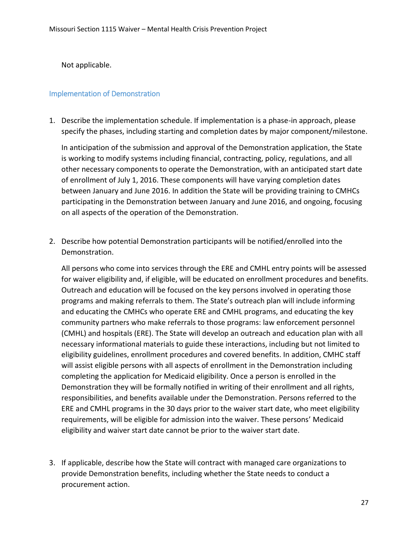Not applicable.

### Implementation of Demonstration

1. Describe the implementation schedule. If implementation is a phase-in approach, please specify the phases, including starting and completion dates by major component/milestone.

In anticipation of the submission and approval of the Demonstration application, the State is working to modify systems including financial, contracting, policy, regulations, and all other necessary components to operate the Demonstration, with an anticipated start date of enrollment of July 1, 2016. These components will have varying completion dates between January and June 2016. In addition the State will be providing training to CMHCs participating in the Demonstration between January and June 2016, and ongoing, focusing on all aspects of the operation of the Demonstration.

2. Describe how potential Demonstration participants will be notified/enrolled into the Demonstration.

All persons who come into services through the ERE and CMHL entry points will be assessed for waiver eligibility and, if eligible, will be educated on enrollment procedures and benefits. Outreach and education will be focused on the key persons involved in operating those programs and making referrals to them. The State's outreach plan will include informing and educating the CMHCs who operate ERE and CMHL programs, and educating the key community partners who make referrals to those programs: law enforcement personnel (CMHL) and hospitals (ERE). The State will develop an outreach and education plan with all necessary informational materials to guide these interactions, including but not limited to eligibility guidelines, enrollment procedures and covered benefits. In addition, CMHC staff will assist eligible persons with all aspects of enrollment in the Demonstration including completing the application for Medicaid eligibility. Once a person is enrolled in the Demonstration they will be formally notified in writing of their enrollment and all rights, responsibilities, and benefits available under the Demonstration. Persons referred to the ERE and CMHL programs in the 30 days prior to the waiver start date, who meet eligibility requirements, will be eligible for admission into the waiver. These persons' Medicaid eligibility and waiver start date cannot be prior to the waiver start date.

3. If applicable, describe how the State will contract with managed care organizations to provide Demonstration benefits, including whether the State needs to conduct a procurement action.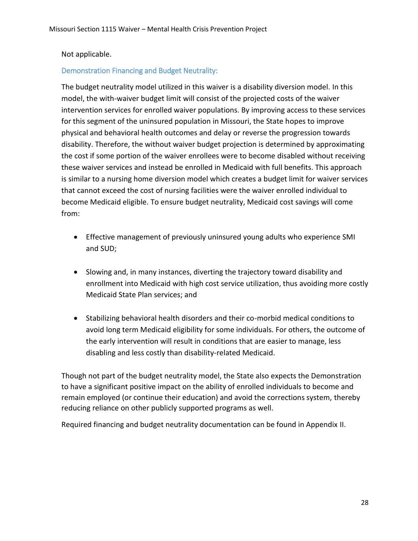## Not applicable.

## Demonstration Financing and Budget Neutrality:

The budget neutrality model utilized in this waiver is a disability diversion model. In this model, the with-waiver budget limit will consist of the projected costs of the waiver intervention services for enrolled waiver populations. By improving access to these services for this segment of the uninsured population in Missouri, the State hopes to improve physical and behavioral health outcomes and delay or reverse the progression towards disability. Therefore, the without waiver budget projection is determined by approximating the cost if some portion of the waiver enrollees were to become disabled without receiving these waiver services and instead be enrolled in Medicaid with full benefits. This approach is similar to a nursing home diversion model which creates a budget limit for waiver services that cannot exceed the cost of nursing facilities were the waiver enrolled individual to become Medicaid eligible. To ensure budget neutrality, Medicaid cost savings will come from:

- Effective management of previously uninsured young adults who experience SMI and SUD;
- Slowing and, in many instances, diverting the trajectory toward disability and enrollment into Medicaid with high cost service utilization, thus avoiding more costly Medicaid State Plan services; and
- Stabilizing behavioral health disorders and their co-morbid medical conditions to avoid long term Medicaid eligibility for some individuals. For others, the outcome of the early intervention will result in conditions that are easier to manage, less disabling and less costly than disability-related Medicaid.

Though not part of the budget neutrality model, the State also expects the Demonstration to have a significant positive impact on the ability of enrolled individuals to become and remain employed (or continue their education) and avoid the corrections system, thereby reducing reliance on other publicly supported programs as well.

Required financing and budget neutrality documentation can be found in Appendix II.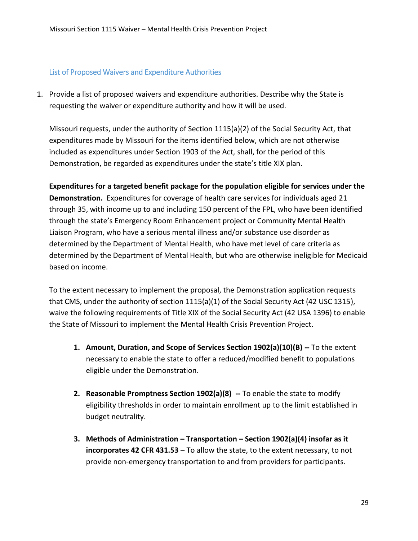## List of Proposed Waivers and Expenditure Authorities

1. Provide a list of proposed waivers and expenditure authorities. Describe why the State is requesting the waiver or expenditure authority and how it will be used.

Missouri requests, under the authority of Section 1115(a)(2) of the Social Security Act, that expenditures made by Missouri for the items identified below, which are not otherwise included as expenditures under Section 1903 of the Act, shall, for the period of this Demonstration, be regarded as expenditures under the state's title XIX plan.

**Expenditures for a targeted benefit package for the population eligible for services under the Demonstration.** Expenditures for coverage of health care services for individuals aged 21 through 35, with income up to and including 150 percent of the FPL, who have been identified through the state's Emergency Room Enhancement project or Community Mental Health Liaison Program, who have a serious mental illness and/or substance use disorder as determined by the Department of Mental Health, who have met level of care criteria as determined by the Department of Mental Health, but who are otherwise ineligible for Medicaid based on income.

To the extent necessary to implement the proposal, the Demonstration application requests that CMS, under the authority of section 1115(a)(1) of the Social Security Act (42 USC 1315), waive the following requirements of Title XIX of the Social Security Act (42 USA 1396) to enable the State of Missouri to implement the Mental Health Crisis Prevention Project.

- **1. Amount, Duration, and Scope of Services Section 1902(a)(10)(B) --** To the extent necessary to enable the state to offer a reduced/modified benefit to populations eligible under the Demonstration.
- **2. Reasonable Promptness Section 1902(a)(8) --** To enable the state to modify eligibility thresholds in order to maintain enrollment up to the limit established in budget neutrality.
- **3. Methods of Administration – Transportation – Section 1902(a)(4) insofar as it incorporates 42 CFR 431.53** – To allow the state, to the extent necessary, to not provide non-emergency transportation to and from providers for participants.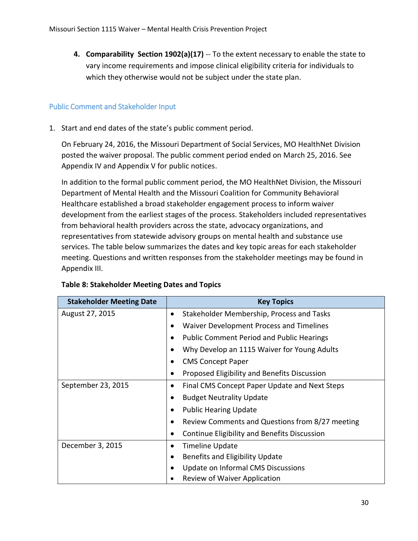**4. Comparability Section 1902(a)(17)** -- To the extent necessary to enable the state to vary income requirements and impose clinical eligibility criteria for individuals to which they otherwise would not be subject under the state plan.

## Public Comment and Stakeholder Input

1. Start and end dates of the state's public comment period.

On February 24, 2016, the Missouri Department of Social Services, MO HealthNet Division posted the waiver proposal. The public comment period ended on March 25, 2016. See Appendix IV and Appendix V for public notices.

In addition to the formal public comment period, the MO HealthNet Division, the Missouri Department of Mental Health and the Missouri Coalition for Community Behavioral Healthcare established a broad stakeholder engagement process to inform waiver development from the earliest stages of the process. Stakeholders included representatives from behavioral health providers across the state, advocacy organizations, and representatives from statewide advisory groups on mental health and substance use services. The table below summarizes the dates and key topic areas for each stakeholder meeting. Questions and written responses from the stakeholder meetings may be found in Appendix III.

| <b>Stakeholder Meeting Date</b> | <b>Key Topics</b>                                            |
|---------------------------------|--------------------------------------------------------------|
| August 27, 2015                 | Stakeholder Membership, Process and Tasks<br>$\bullet$       |
|                                 | Waiver Development Process and Timelines<br>$\bullet$        |
|                                 | <b>Public Comment Period and Public Hearings</b><br>٠        |
|                                 | Why Develop an 1115 Waiver for Young Adults<br>$\bullet$     |
|                                 | <b>CMS Concept Paper</b><br>$\bullet$                        |
|                                 | Proposed Eligibility and Benefits Discussion<br>٠            |
| September 23, 2015              | Final CMS Concept Paper Update and Next Steps<br>$\bullet$   |
|                                 | <b>Budget Neutrality Update</b><br>$\bullet$                 |
|                                 | <b>Public Hearing Update</b><br>$\bullet$                    |
|                                 | Review Comments and Questions from 8/27 meeting<br>$\bullet$ |
|                                 | Continue Eligibility and Benefits Discussion<br>٠            |
| December 3, 2015                | <b>Timeline Update</b><br>٠                                  |
|                                 | Benefits and Eligibility Update<br>$\bullet$                 |
|                                 | Update on Informal CMS Discussions<br>$\bullet$              |
|                                 | Review of Waiver Application                                 |

#### **Table 8: Stakeholder Meeting Dates and Topics**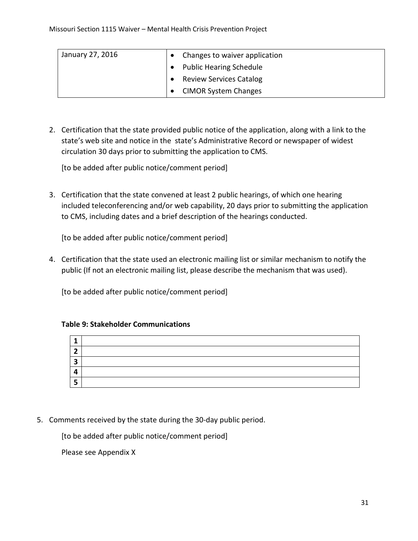| January 27, 2016 | Changes to waiver application  |
|------------------|--------------------------------|
|                  | <b>Public Hearing Schedule</b> |
|                  | <b>Review Services Catalog</b> |
|                  | <b>CIMOR System Changes</b>    |

2. Certification that the state provided public notice of the application, along with a link to the state's web site and notice in the state's Administrative Record or newspaper of widest circulation 30 days prior to submitting the application to CMS.

[to be added after public notice/comment period]

3. Certification that the state convened at least 2 public hearings, of which one hearing included teleconferencing and/or web capability, 20 days prior to submitting the application to CMS, including dates and a brief description of the hearings conducted.

[to be added after public notice/comment period]

4. Certification that the state used an electronic mailing list or similar mechanism to notify the public (If not an electronic mailing list, please describe the mechanism that was used).

[to be added after public notice/comment period]

# **1 2 3 4 5**

#### **Table 9: Stakeholder Communications**

5. Comments received by the state during the 30-day public period.

[to be added after public notice/comment period]

Please see Appendix X